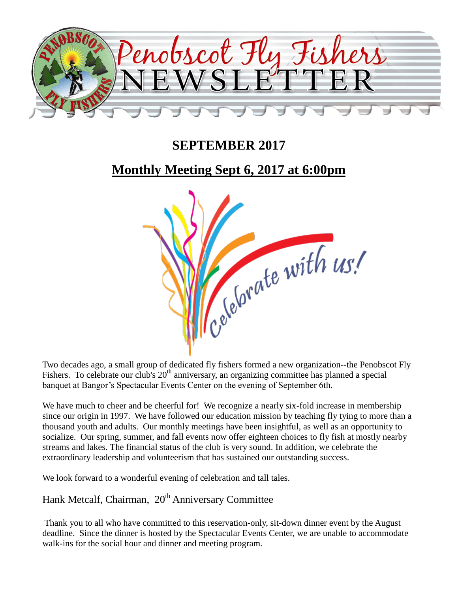

## **SEPTEMBER 2017**

## **Monthly Meeting Sept 6, 2017 at 6:00pm**



Two decades ago, a small group of dedicated fly fishers formed a new organization--the Penobscot Fly Fishers. To celebrate our club's  $20<sup>th</sup>$  anniversary, an organizing committee has planned a special banquet at Bangor's Spectacular Events Center on the evening of September 6th.

We have much to cheer and be cheerful for! We recognize a nearly six-fold increase in membership since our origin in 1997. We have followed our education mission by teaching fly tying to more than a thousand youth and adults. Our monthly meetings have been insightful, as well as an opportunity to socialize. Our spring, summer, and fall events now offer eighteen choices to fly fish at mostly nearby streams and lakes. The financial status of the club is very sound. In addition, we celebrate the extraordinary leadership and volunteerism that has sustained our outstanding success.

We look forward to a wonderful evening of celebration and tall tales.

Hank Metcalf, Chairman, 20<sup>th</sup> Anniversary Committee

Thank you to all who have committed to this reservation-only, sit-down dinner event by the August deadline. Since the dinner is hosted by the Spectacular Events Center, we are unable to accommodate walk-ins for the social hour and dinner and meeting program.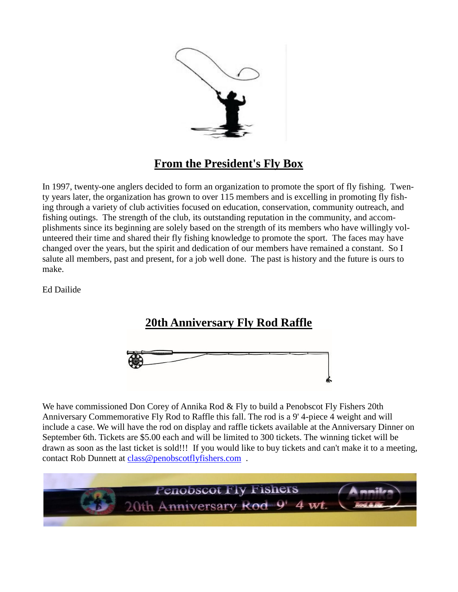

## **From the President's Fly Box**

In 1997, twenty-one anglers decided to form an organization to promote the sport of fly fishing. Twenty years later, the organization has grown to over 115 members and is excelling in promoting fly fishing through a variety of club activities focused on education, conservation, community outreach, and fishing outings. The strength of the club, its outstanding reputation in the community, and accomplishments since its beginning are solely based on the strength of its members who have willingly volunteered their time and shared their fly fishing knowledge to promote the sport. The faces may have changed over the years, but the spirit and dedication of our members have remained a constant. So I salute all members, past and present, for a job well done. The past is history and the future is ours to make.

Ed Dailide

## **20th Anniversary Fly Rod Raffle**



We have commissioned Don Corey of Annika Rod & Fly to build a Penobscot Fly Fishers 20th Anniversary Commemorative Fly Rod to Raffle this fall. The rod is a 9' 4-piece 4 weight and will include a case. We will have the rod on display and raffle tickets available at the Anniversary Dinner on September 6th. Tickets are \$5.00 each and will be limited to 300 tickets. The winning ticket will be drawn as soon as the last ticket is sold!!! If you would like to buy tickets and can't make it to a meeting, contact Rob Dunnett at [class@penobscotflyfishers.com](mailto:class@penobscotflyfishers.com) .

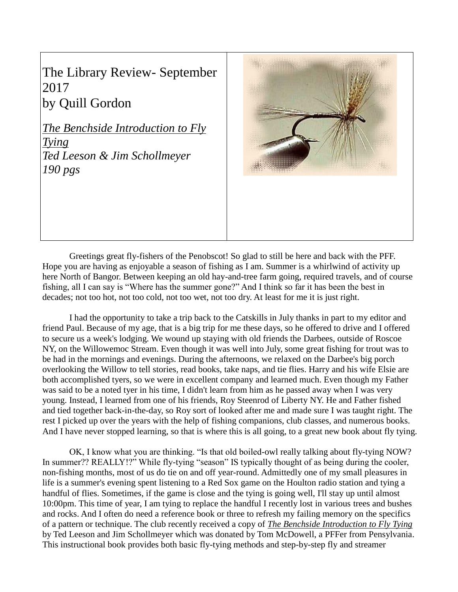The Library Review- September 2017 by Quill Gordon

*The Benchside Introduction to Fly Tying Ted Leeson & Jim Schollmeyer 190 pgs*



Greetings great fly-fishers of the Penobscot! So glad to still be here and back with the PFF. Hope you are having as enjoyable a season of fishing as I am. Summer is a whirlwind of activity up here North of Bangor. Between keeping an old hay-and-tree farm going, required travels, and of course fishing, all I can say is "Where has the summer gone?" And I think so far it has been the best in decades; not too hot, not too cold, not too wet, not too dry. At least for me it is just right.

I had the opportunity to take a trip back to the Catskills in July thanks in part to my editor and friend Paul. Because of my age, that is a big trip for me these days, so he offered to drive and I offered to secure us a week's lodging. We wound up staying with old friends the Darbees, outside of Roscoe NY, on the Willowemoc Stream. Even though it was well into July, some great fishing for trout was to be had in the mornings and evenings. During the afternoons, we relaxed on the Darbee's big porch overlooking the Willow to tell stories, read books, take naps, and tie flies. Harry and his wife Elsie are both accomplished tyers, so we were in excellent company and learned much. Even though my Father was said to be a noted tyer in his time, I didn't learn from him as he passed away when I was very young. Instead, I learned from one of his friends, Roy Steenrod of Liberty NY. He and Father fished and tied together back-in-the-day, so Roy sort of looked after me and made sure I was taught right. The rest I picked up over the years with the help of fishing companions, club classes, and numerous books. And I have never stopped learning, so that is where this is all going, to a great new book about fly tying.

OK, I know what you are thinking. "Is that old boiled-owl really talking about fly-tying NOW? In summer?? REALLY!?" While fly-tying "season" IS typically thought of as being during the cooler, non-fishing months, most of us do tie on and off year-round. Admittedly one of my small pleasures in life is a summer's evening spent listening to a Red Sox game on the Houlton radio station and tying a handful of flies. Sometimes, if the game is close and the tying is going well, I'll stay up until almost 10:00pm. This time of year, I am tying to replace the handful I recently lost in various trees and bushes and rocks. And I often do need a reference book or three to refresh my failing memory on the specifics of a pattern or technique. The club recently received a copy of *The Benchside Introduction to Fly Tying* by Ted Leeson and Jim Schollmeyer which was donated by Tom McDowell, a PFFer from Pensylvania. This instructional book provides both basic fly-tying methods and step-by-step fly and streamer